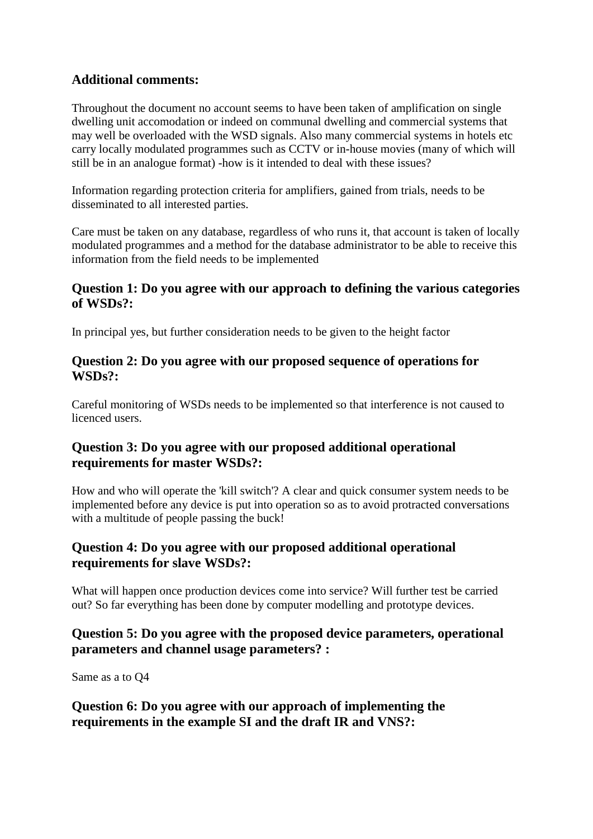## **Additional comments:**

Throughout the document no account seems to have been taken of amplification on single dwelling unit accomodation or indeed on communal dwelling and commercial systems that may well be overloaded with the WSD signals. Also many commercial systems in hotels etc carry locally modulated programmes such as CCTV or in-house movies (many of which will still be in an analogue format) -how is it intended to deal with these issues?

Information regarding protection criteria for amplifiers, gained from trials, needs to be disseminated to all interested parties.

Care must be taken on any database, regardless of who runs it, that account is taken of locally modulated programmes and a method for the database administrator to be able to receive this information from the field needs to be implemented

### **Question 1: Do you agree with our approach to defining the various categories of WSDs?:**

In principal yes, but further consideration needs to be given to the height factor

### **Question 2: Do you agree with our proposed sequence of operations for WSDs?:**

Careful monitoring of WSDs needs to be implemented so that interference is not caused to licenced users.

### **Question 3: Do you agree with our proposed additional operational requirements for master WSDs?:**

How and who will operate the 'kill switch'? A clear and quick consumer system needs to be implemented before any device is put into operation so as to avoid protracted conversations with a multitude of people passing the buck!

### **Question 4: Do you agree with our proposed additional operational requirements for slave WSDs?:**

What will happen once production devices come into service? Will further test be carried out? So far everything has been done by computer modelling and prototype devices.

# **Question 5: Do you agree with the proposed device parameters, operational parameters and channel usage parameters? :**

Same as a to Q4

**Question 6: Do you agree with our approach of implementing the requirements in the example SI and the draft IR and VNS?:**